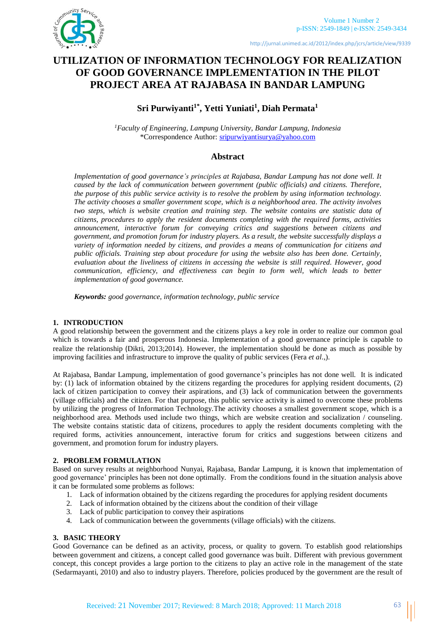

http://jurnal.unimed.ac.id/2012/index.php/jcrs/article/view/9339

# **UTILIZATION OF INFORMATION TECHNOLOGY FOR REALIZATION OF GOOD GOVERNANCE IMPLEMENTATION IN THE PILOT PROJECT AREA AT RAJABASA IN BANDAR LAMPUNG**

## **Sri Purwiyanti1\* , Yetti Yuniati<sup>1</sup> , Diah Permata<sup>1</sup>**

*<sup>1</sup>Faculty of Engineering, Lampung University, Bandar Lampung, Indonesia* \*Correspondence Author: [sripurwiyantisurya@yahoo.com](mailto:sripurwiyantisurya@yahoo.com)

## **Abstract**

*Implementation of good governance's principles at Rajabasa, Bandar Lampung has not done well. It caused by the lack of communication between government (public officials) and citizens. Therefore, the purpose of this public service activity is to resolve the problem by using information technology. The activity chooses a smaller government scope, which is a neighborhood area. The activity involves two steps, which is website creation and training step. The website contains are statistic data of citizens, procedures to apply the resident documents completing with the required forms, activities announcement, interactive forum for conveying critics and suggestions between citizens and government, and promotion forum for industry players. As a result, the website successfully displays a variety of information needed by citizens, and provides a means of communication for citizens and public officials. Training step about procedure for using the website also has been done. Certainly, evaluation about the liveliness of citizens in accessing the website is still required. However, good communication, efficiency, and effectiveness can begin to form well, which leads to better implementation of good governance.*

*Keywords: good governance, information technology, public service*

## **1. INTRODUCTION**

A good relationship between the government and the citizens plays a key role in order to realize our common goal which is towards a fair and prosperous Indonesia. Implementation of a good governance principle is capable to realize the relationship (Dikti, 2013;2014). However, the implementation should be done as much as possible by improving facilities and infrastructure to improve the quality of public services (Fera *et al*.,).

At Rajabasa, Bandar Lampung, implementation of good governance's principles has not done well. It is indicated by: (1) lack of information obtained by the citizens regarding the procedures for applying resident documents, (2) lack of citizen participation to convey their aspirations, and (3) lack of communication between the governments (village officials) and the citizen. For that purpose, this public service activity is aimed to overcome these problems by utilizing the progress of Information Technology.The activity chooses a smallest government scope, which is a neighborhood area. Methods used include two things, which are website creation and socialization / counseling. The website contains statistic data of citizens, procedures to apply the resident documents completing with the required forms, activities announcement, interactive forum for critics and suggestions between citizens and government, and promotion forum for industry players.

## **2. PROBLEM FORMULATION**

Based on survey results at neighborhood Nunyai, Rajabasa, Bandar Lampung, it is known that implementation of good governance' principles has been not done optimally. From the conditions found in the situation analysis above it can be formulated some problems as follows:

- 1. Lack of information obtained by the citizens regarding the procedures for applying resident documents
- 2. Lack of information obtained by the citizens about the condition of their village
- 3. Lack of public participation to convey their aspirations
- 4. Lack of communication between the governments (village officials) with the citizens.

## **3. BASIC THEORY**

Good Governance can be defined as an activity, process, or quality to govern. To establish good relationships between government and citizens, a concept called good governance was built. Different with previous government concept, this concept provides a large portion to the citizens to play an active role in the management of the state (Sedarmayanti, 2010) and also to industry players. Therefore, policies produced by the government are the result of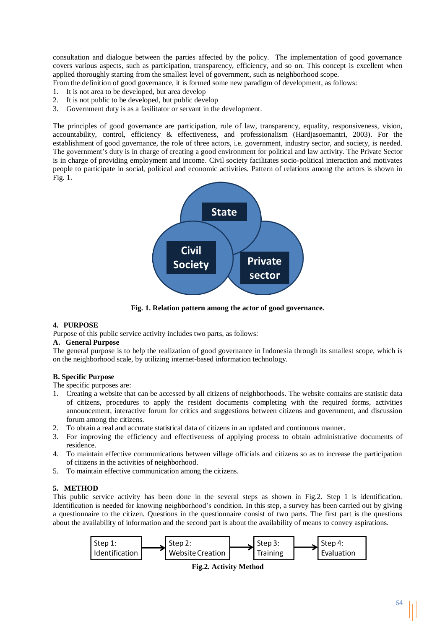consultation and dialogue between the parties affected by the policy. The implementation of good governance covers various aspects, such as participation, transparency, efficiency, and so on. This concept is excellent when applied thoroughly starting from the smallest level of government, such as neighborhood scope.

From the definition of good governance, it is formed some new paradigm of development, as follows:

- 1. It is not area to be developed, but area develop
- 2. It is not public to be developed, but public develop
- 3. Government duty is as a fasilitator or servant in the development.

The principles of good governance are participation, rule of law, transparency, equality, responsiveness, vision, accountability, control, efficiency & effectiveness, and professionalism (Hardjasoemantri, 2003). For the establishment of good governance, the role of three actors, i.e. government, industry sector, and society, is needed. The government's duty is in charge of creating a good environment for political and law activity. The Private Sector is in charge of providing employment and income. Civil society facilitates socio-political interaction and motivates people to participate in social, political and economic activities. Pattern of relations among the actors is shown in Fig. 1.



**Fig. 1. Relation pattern among the actor of good governance.** 

#### **4. PURPOSE**

Purpose of this public service activity includes two parts, as follows:

#### **A. General Purpose**

The general purpose is to help the realization of good governance in Indonesia through its smallest scope, which is on the neighborhood scale, by utilizing internet-based information technology.

## **B. Specific Purpose**

The specific purposes are:

- 1. Creating a website that can be accessed by all citizens of neighborhoods. The website contains are statistic data of citizens, procedures to apply the resident documents completing with the required forms, activities announcement, interactive forum for critics and suggestions between citizens and government, and discussion forum among the citizens.
- 2. To obtain a real and accurate statistical data of citizens in an updated and continuous manner.
- 3. For improving the efficiency and effectiveness of applying process to obtain administrative documents of residence.
- 4. To maintain effective communications between village officials and citizens so as to increase the participation of citizens in the activities of neighborhood.
- 5. To maintain effective communication among the citizens.

## **5. METHOD**

This public service activity has been done in the several steps as shown in Fig.2. Step 1 is identification. Identification is needed for knowing neighborhood's condition. In this step, a survey has been carried out by giving a questionnaire to the citizen. Questions in the questionnaire consist of two parts. The first part is the questions about the availability of information and the second part is about the availability of means to convey aspirations.



**Fig.2. Activity Method**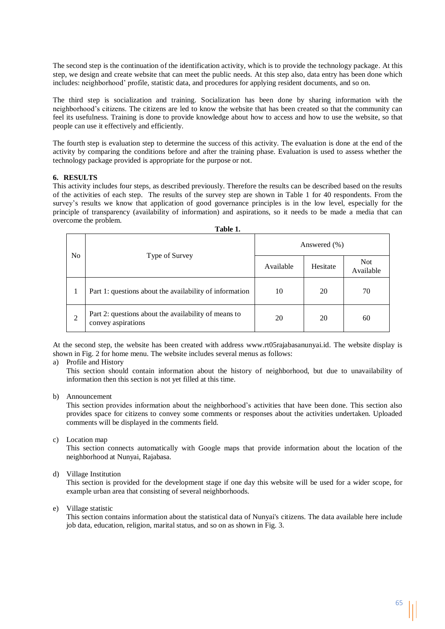The second step is the continuation of the identification activity, which is to provide the technology package. At this step, we design and create website that can meet the public needs. At this step also, data entry has been done which includes: neighborhood' profile, statistic data, and procedures for applying resident documents, and so on.

The third step is socialization and training. Socialization has been done by sharing information with the neighborhood's citizens. The citizens are led to know the website that has been created so that the community can feel its usefulness. Training is done to provide knowledge about how to access and how to use the website, so that people can use it effectively and efficiently.

The fourth step is evaluation step to determine the success of this activity. The evaluation is done at the end of the activity by comparing the conditions before and after the training phase. Evaluation is used to assess whether the technology package provided is appropriate for the purpose or not.

## **6. RESULTS**

This activity includes four steps, as described previously. Therefore the results can be described based on the results of the activities of each step. The results of the survey step are shown in Table 1 for 40 respondents. From the survey's results we know that application of good governance principles is in the low level, especially for the principle of transparency (availability of information) and aspirations, so it needs to be made a media that can overcome the problem.

| Table 1.       |                                                                            |                  |          |                         |  |  |  |  |  |  |  |
|----------------|----------------------------------------------------------------------------|------------------|----------|-------------------------|--|--|--|--|--|--|--|
| N <sub>0</sub> |                                                                            | Answered $(\% )$ |          |                         |  |  |  |  |  |  |  |
|                | Type of Survey                                                             | Available        | Hesitate | <b>Not</b><br>Available |  |  |  |  |  |  |  |
|                | Part 1: questions about the availability of information                    | 10               | 20       | 70                      |  |  |  |  |  |  |  |
| $\overline{2}$ | Part 2: questions about the availability of means to<br>convey aspirations | 20               | 20       | 60                      |  |  |  |  |  |  |  |

At the second step, the website has been created with address [www.rt05rajabasanunyai.id.](http://www.rt05rajabasanunyai.id/) The website display is shown in Fig. 2 for home menu. The website includes several menus as follows:

a) Profile and History

This section should contain information about the history of neighborhood, but due to unavailability of information then this section is not yet filled at this time.

b) Announcement

This section provides information about the neighborhood's activities that have been done. This section also provides space for citizens to convey some comments or responses about the activities undertaken. Uploaded comments will be displayed in the comments field.

c) Location map

This section connects automatically with Google maps that provide information about the location of the neighborhood at Nunyai, Rajabasa.

d) Village Institution

This section is provided for the development stage if one day this website will be used for a wider scope, for example urban area that consisting of several neighborhoods.

e) Village statistic

This section contains information about the statistical data of Nunyai's citizens. The data available here include job data, education, religion, marital status, and so on as shown in Fig. 3.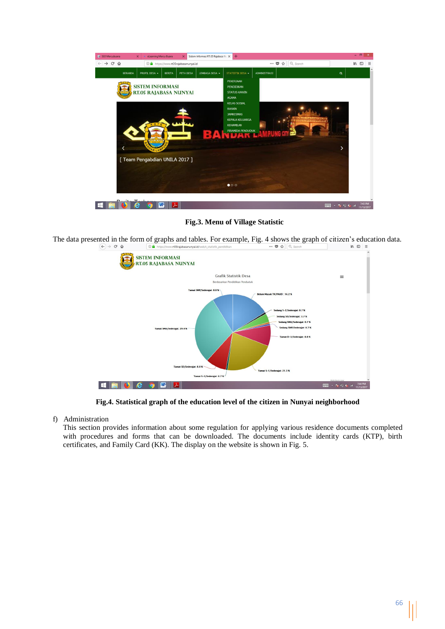

**Fig.3. Menu of Village Statistic**

The data presented in the form of graphs and tables. For example, Fig. 4 shows the graph of citizen's education data.  $\left(\leftarrow\right)$   $\rightarrow$   $\left[\right.$   $\right]$   $\oplus$   $\left.\right.$  $\odot$  A  $\cdots \bullet \bullet$  Q Se  $\mathbb{R}$   $\mathbb{R}$   $\mathbb{R}$   $\mathbb{R}$   $\mathbb{R}$   $\mathbb{R}$   $\mathbb{R}$   $\mathbb{R}$   $\mathbb{R}$   $\mathbb{R}$   $\mathbb{R}$   $\mathbb{R}$   $\mathbb{R}$   $\mathbb{R}$   $\mathbb{R}$   $\mathbb{R}$   $\mathbb{R}$   $\mathbb{R}$   $\mathbb{R}$   $\mathbb{R}$   $\mathbb{R}$   $\mathbb{R}$   $\mathbb{R}$   $\mathbb{R}$   $\mathbb{$ 



**Fig.4. Statistical graph of the education level of the citizen in Nunyai neighborhood**

f) Administration

This section provides information about some regulation for applying various residence documents completed with procedures and forms that can be downloaded. The documents include identity cards (KTP), birth certificates, and Family Card (KK). The display on the website is shown in Fig. 5.